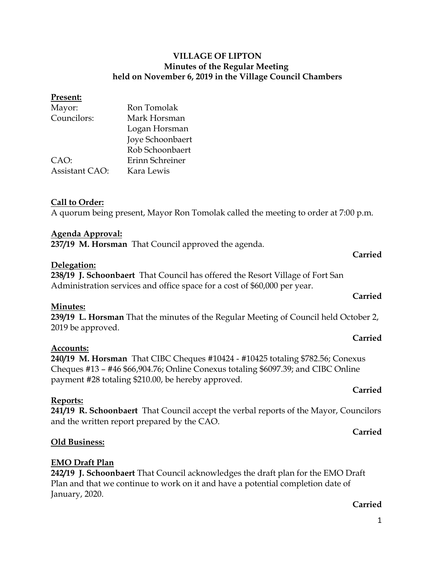#### **VILLAGE OF LIPTON Minutes of the Regular Meeting held on November 6, 2019 in the Village Council Chambers**

#### **Present:**

| Mayor:                | Ron Tomolak      |
|-----------------------|------------------|
| Councilors:           | Mark Horsman     |
|                       | Logan Horsman    |
|                       | Joye Schoonbaert |
|                       | Rob Schoonbaert  |
| CAO:                  | Erinn Schreiner  |
| <b>Assistant CAO:</b> | Kara Lewis       |

#### **Call to Order:**

A quorum being present, Mayor Ron Tomolak called the meeting to order at 7:00 p.m.

#### **Agenda Approval:**

**237/19 M. Horsman** That Council approved the agenda.

#### **Delegation:**

**238/19 J. Schoonbaert** That Council has offered the Resort Village of Fort San Administration services and office space for a cost of \$60,000 per year.

#### **Minutes:**

**239/19 L. Horsman** That the minutes of the Regular Meeting of Council held October 2, 2019 be approved.

#### **Accounts:**

**240/19 M. Horsman** That CIBC Cheques #10424 - #10425 totaling \$782.56; Conexus Cheques #13 – #46 \$66,904.76; Online Conexus totaling \$6097.39; and CIBC Online payment #28 totaling \$210.00, be hereby approved.

#### **Reports:**

**241/19 R. Schoonbaert** That Council accept the verbal reports of the Mayor, Councilors and the written report prepared by the CAO.

#### **Old Business:**

#### **EMO Draft Plan**

**242/19 J. Schoonbaert** That Council acknowledges the draft plan for the EMO Draft Plan and that we continue to work on it and have a potential completion date of January, 2020.

#### **Carried**

### **Carried**

**Carried**

## **Carried**

#### **Carried**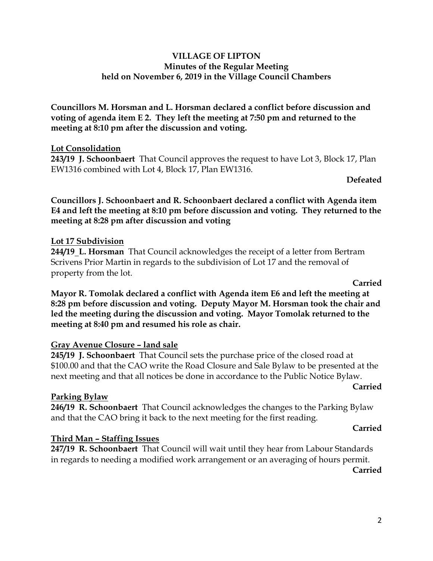#### **VILLAGE OF LIPTON Minutes of the Regular Meeting held on November 6, 2019 in the Village Council Chambers**

**Councillors M. Horsman and L. Horsman declared a conflict before discussion and voting of agenda item E 2. They left the meeting at 7:50 pm and returned to the meeting at 8:10 pm after the discussion and voting.**

#### **Lot Consolidation**

**243/19 J. Schoonbaert** That Council approves the request to have Lot 3, Block 17, Plan EW1316 combined with Lot 4, Block 17, Plan EW1316.

**Defeated**

**Councillors J. Schoonbaert and R. Schoonbaert declared a conflict with Agenda item E4 and left the meeting at 8:10 pm before discussion and voting. They returned to the meeting at 8:28 pm after discussion and voting**

#### **Lot 17 Subdivision**

**244/19 L. Horsman** That Council acknowledges the receipt of a letter from Bertram Scrivens Prior Martin in regards to the subdivision of Lot 17 and the removal of property from the lot.

**Carried**

**Mayor R. Tomolak declared a conflict with Agenda item E6 and left the meeting at 8:28 pm before discussion and voting. Deputy Mayor M. Horsman took the chair and led the meeting during the discussion and voting. Mayor Tomolak returned to the meeting at 8:40 pm and resumed his role as chair.**

#### **Gray Avenue Closure – land sale**

**245/19 J. Schoonbaert** That Council sets the purchase price of the closed road at \$100.00 and that the CAO write the Road Closure and Sale Bylaw to be presented at the next meeting and that all notices be done in accordance to the Public Notice Bylaw.

#### **Carried**

#### **Parking Bylaw**

**246/19 R. Schoonbaert** That Council acknowledges the changes to the Parking Bylaw and that the CAO bring it back to the next meeting for the first reading.

#### **Carried**

#### **Third Man – Staffing Issues**

**247/19 R. Schoonbaert** That Council will wait until they hear from Labour Standards in regards to needing a modified work arrangement or an averaging of hours permit.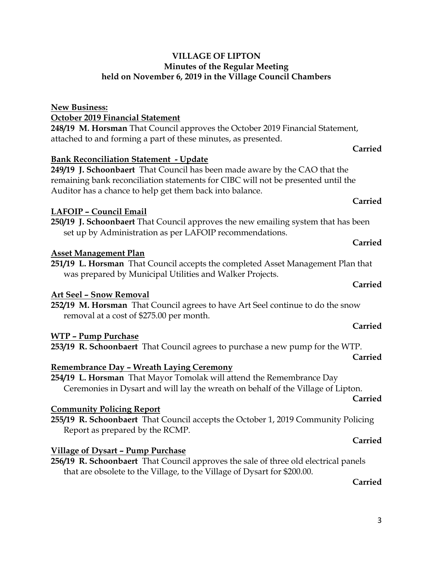#### 3

#### **VILLAGE OF LIPTON Minutes of the Regular Meeting held on November 6, 2019 in the Village Council Chambers**

### **New Business:**

**October 2019 Financial Statement**

**248/19 M. Horsman** That Council approves the October 2019 Financial Statement, attached to and forming a part of these minutes, as presented.

#### **Bank Reconciliation Statement - Update**

**249/19 J. Schoonbaert** That Council has been made aware by the CAO that the remaining bank reconciliation statements for CIBC will not be presented until the Auditor has a chance to help get them back into balance.

#### **LAFOIP – Council Email**

**250/19 J. Schoonbaert** That Council approves the new emailing system that has been set up by Administration as per LAFOIP recommendations.

#### **Asset Management Plan**

**251/19 L. Horsman** That Council accepts the completed Asset Management Plan that was prepared by Municipal Utilities and Walker Projects.

#### **Art Seel – Snow Removal**

**252/19 M. Horsman** That Council agrees to have Art Seel continue to do the snow removal at a cost of \$275.00 per month.

#### **WTP – Pump Purchase**

**253/19 R. Schoonbaert** That Council agrees to purchase a new pump for the WTP.

#### **Remembrance Day – Wreath Laying Ceremony**

**254/19 L. Horsman** That Mayor Tomolak will attend the Remembrance Day Ceremonies in Dysart and will lay the wreath on behalf of the Village of Lipton.

### **Community Policing Report**

**255/19 R. Schoonbaert** That Council accepts the October 1, 2019 Community Policing Report as prepared by the RCMP.

#### **Village of Dysart – Pump Purchase**

**256/19 R. Schoonbaert** That Council approves the sale of three old electrical panels that are obsolete to the Village, to the Village of Dysart for \$200.00.

#### **Carried**

**Carried**

**Carried**

**Carried**

**Carried**

### **Carried**

**Carried**

# **Carried**